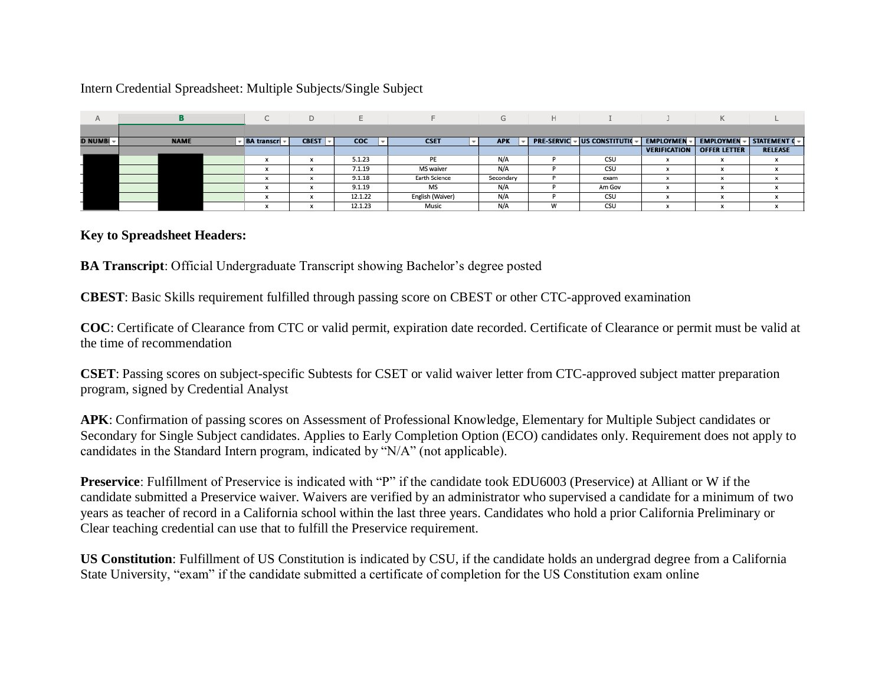## Intern Credential Spreadsheet: Multiple Subjects/Single Subject

| A              |             |                    | D            |            |                  | $\sim$<br>G | H. |                                     |                     | Κ                   |                |
|----------------|-------------|--------------------|--------------|------------|------------------|-------------|----|-------------------------------------|---------------------|---------------------|----------------|
|                |             |                    |              |            |                  |             |    |                                     |                     |                     |                |
| <b>D NUMBI</b> | <b>NAME</b> | <b>BA</b> transcri | <b>CBEST</b> | <b>COC</b> | <b>CSET</b>      | <b>APK</b>  |    | <b>PRE-SERVIC - US CONSTITUTION</b> | <b>EMPLOYMEN</b>    | <b>EMPLOYMEN</b>    | STATEMENT ( v  |
|                |             |                    |              |            |                  |             |    |                                     | <b>VERIFICATION</b> | <b>OFFER LETTER</b> | <b>RELEASE</b> |
|                |             | $\sim$             |              | 5.1.23     | PE               | N/A         |    | CSU                                 |                     |                     |                |
|                |             |                    |              | 7.1.19     | <b>MS</b> waiver | N/A         |    | CSU                                 |                     |                     |                |
|                |             |                    |              | 9.1.18     | Earth Science    | Secondary   |    | exam                                |                     |                     |                |
|                |             |                    |              | 9.1.19     | MS               | N/A         |    | Am Gov                              |                     |                     |                |
|                |             |                    |              | 12.1.22    | English (Waiver) | N/A         |    | CSU                                 |                     |                     |                |
|                |             |                    |              | 12.1.23    | Music            | N/A         | w  | CSU                                 |                     |                     |                |

## **Key to Spreadsheet Headers:**

**BA Transcript**: Official Undergraduate Transcript showing Bachelor's degree posted

**CBEST**: Basic Skills requirement fulfilled through passing score on CBEST or other CTC-approved examination

**COC**: Certificate of Clearance from CTC or valid permit, expiration date recorded. Certificate of Clearance or permit must be valid at the time of recommendation

**CSET**: Passing scores on subject-specific Subtests for CSET or valid waiver letter from CTC-approved subject matter preparation program, signed by Credential Analyst

**APK**: Confirmation of passing scores on Assessment of Professional Knowledge, Elementary for Multiple Subject candidates or Secondary for Single Subject candidates. Applies to Early Completion Option (ECO) candidates only. Requirement does not apply to candidates in the Standard Intern program, indicated by "N/A" (not applicable).

**Preservice**: Fulfillment of Preservice is indicated with "P" if the candidate took EDU6003 (Preservice) at Alliant or W if the candidate submitted a Preservice waiver. Waivers are verified by an administrator who supervised a candidate for a minimum of two years as teacher of record in a California school within the last three years. Candidates who hold a prior California Preliminary or Clear teaching credential can use that to fulfill the Preservice requirement.

**US Constitution**: Fulfillment of US Constitution is indicated by CSU, if the candidate holds an undergrad degree from a California State University, "exam" if the candidate submitted a certificate of completion for the US Constitution exam online